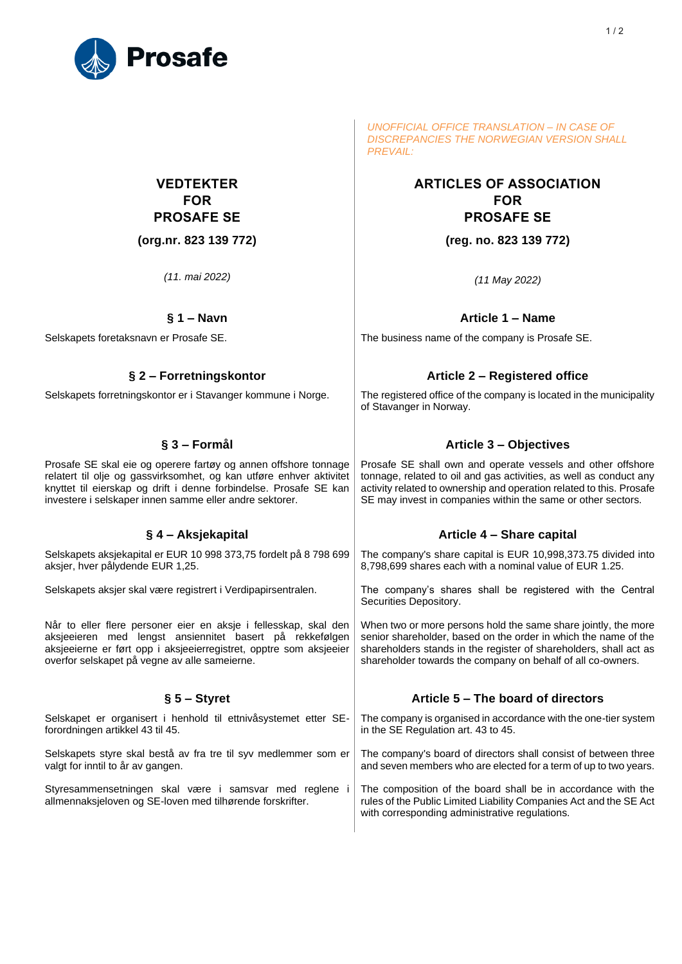

# **VEDTEKTER FOR PROSAFE SE**

**(org.nr. 823 139 772)**

*(11. mai 2022)*

Prosafe SE skal eie og operere fartøy og annen offshore tonnage relatert til olje og gassvirksomhet, og kan utføre enhver aktivitet knyttet til eierskap og drift i denne forbindelse. Prosafe SE kan investere i selskaper innen samme eller andre sektorer.

Selskapets aksjekapital er EUR 10 998 373,75 fordelt på 8 798 699 aksjer, hver pålydende EUR 1,25.

Selskapets aksjer skal være registrert i Verdipapirsentralen.

Når to eller flere personer eier en aksje i fellesskap, skal den aksjeeieren med lengst ansiennitet basert på rekkefølgen aksjeeierne er ført opp i aksjeeierregistret, opptre som aksjeeier overfor selskapet på vegne av alle sameierne.

Selskapet er organisert i henhold til ettnivåsystemet etter SEforordningen artikkel 43 til 45.

Selskapets styre skal bestå av fra tre til syv medlemmer som er valgt for inntil to år av gangen.

Styresammensetningen skal være i samsvar med reglene i allmennaksjeloven og SE-loven med tilhørende forskrifter.

*UNOFFICIAL OFFICE TRANSLATION – IN CASE OF DISCREPANCIES THE NORWEGIAN VERSION SHALL PREVAIL:*

# **ARTICLES OF ASSOCIATION FOR PROSAFE SE (reg. no. 823 139 772)**

*(11 May 2022)*

# **§ 1 – Navn Article 1 – Name**

Selskapets foretaksnavn er Prosafe SE. The business name of the company is Prosafe SE.

# **§ 2 – Forretningskontor Article 2 – Registered office**

Selskapets forretningskontor er i Stavanger kommune i Norge. | The registered office of the company is located in the municipality of Stavanger in Norway.

# **§ 3 – Formål Article 3 – Objectives**

Prosafe SE shall own and operate vessels and other offshore tonnage, related to oil and gas activities, as well as conduct any activity related to ownership and operation related to this. Prosafe SE may invest in companies within the same or other sectors.

# **§ 4 – Aksjekapital Article 4 – Share capital**

The company's share capital is EUR 10,998,373.75 divided into 8,798,699 shares each with a nominal value of EUR 1.25.

The company's shares shall be registered with the Central Securities Depository.

When two or more persons hold the same share jointly, the more senior shareholder, based on the order in which the name of the shareholders stands in the register of shareholders, shall act as shareholder towards the company on behalf of all co-owners.

# **§ 5 – Styret Article 5 – The board of directors**

The company is organised in accordance with the one-tier system in the SE Regulation art. 43 to 45.

The company's board of directors shall consist of between three and seven members who are elected for a term of up to two years.

The composition of the board shall be in accordance with the rules of the Public Limited Liability Companies Act and the SE Act with corresponding administrative regulations.